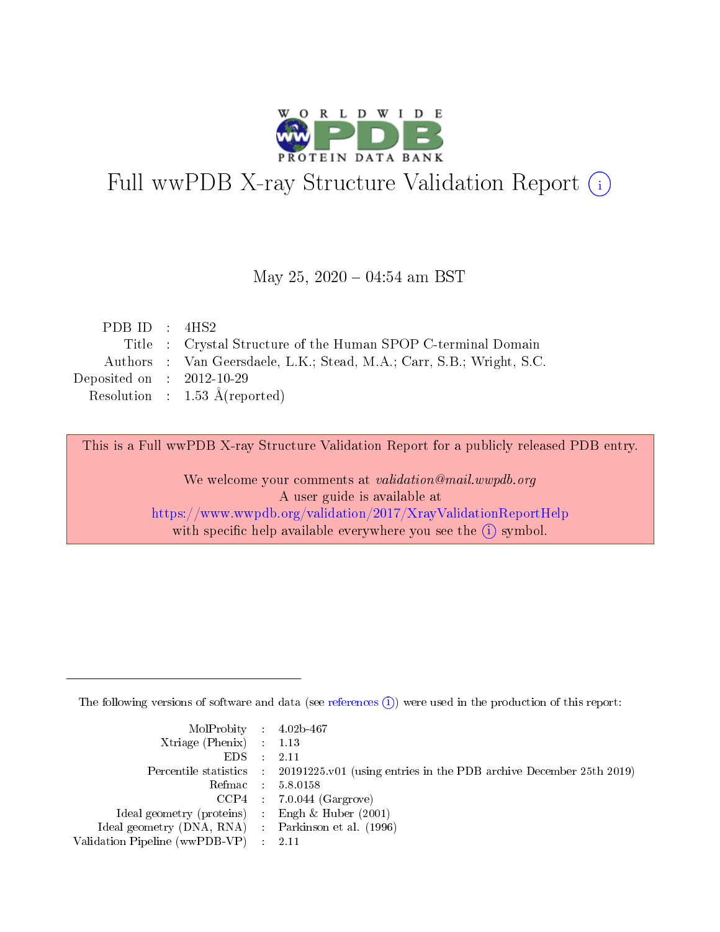

# Full wwPDB X-ray Structure Validation Report (i)

#### May 25,  $2020 - 04:54$  am BST

| PDB ID : $4HS2$             |                                                                       |
|-----------------------------|-----------------------------------------------------------------------|
|                             | Title : Crystal Structure of the Human SPOP C-terminal Domain         |
|                             | Authors : Van Geersdaele, L.K.; Stead, M.A.; Carr, S.B.; Wright, S.C. |
| Deposited on : $2012-10-29$ |                                                                       |
|                             | Resolution : $1.53 \text{ Å}$ (reported)                              |
|                             |                                                                       |

This is a Full wwPDB X-ray Structure Validation Report for a publicly released PDB entry.

We welcome your comments at validation@mail.wwpdb.org A user guide is available at <https://www.wwpdb.org/validation/2017/XrayValidationReportHelp> with specific help available everywhere you see the  $(i)$  symbol.

The following versions of software and data (see [references](https://www.wwpdb.org/validation/2017/XrayValidationReportHelp#references)  $(i)$ ) were used in the production of this report:

| MolProbity : 4.02b-467                              |                                                                                            |
|-----------------------------------------------------|--------------------------------------------------------------------------------------------|
| $Xtriangle (Phenix)$ : 1.13                         |                                                                                            |
| $EDS = 2.11$                                        |                                                                                            |
|                                                     | Percentile statistics : 20191225.v01 (using entries in the PDB archive December 25th 2019) |
|                                                     | Refmac : 5.8.0158                                                                          |
|                                                     | $CCP4$ : 7.0.044 (Gargrove)                                                                |
| Ideal geometry (proteins) : Engh $\&$ Huber (2001)  |                                                                                            |
| Ideal geometry (DNA, RNA) : Parkinson et al. (1996) |                                                                                            |
| Validation Pipeline (wwPDB-VP) : 2.11               |                                                                                            |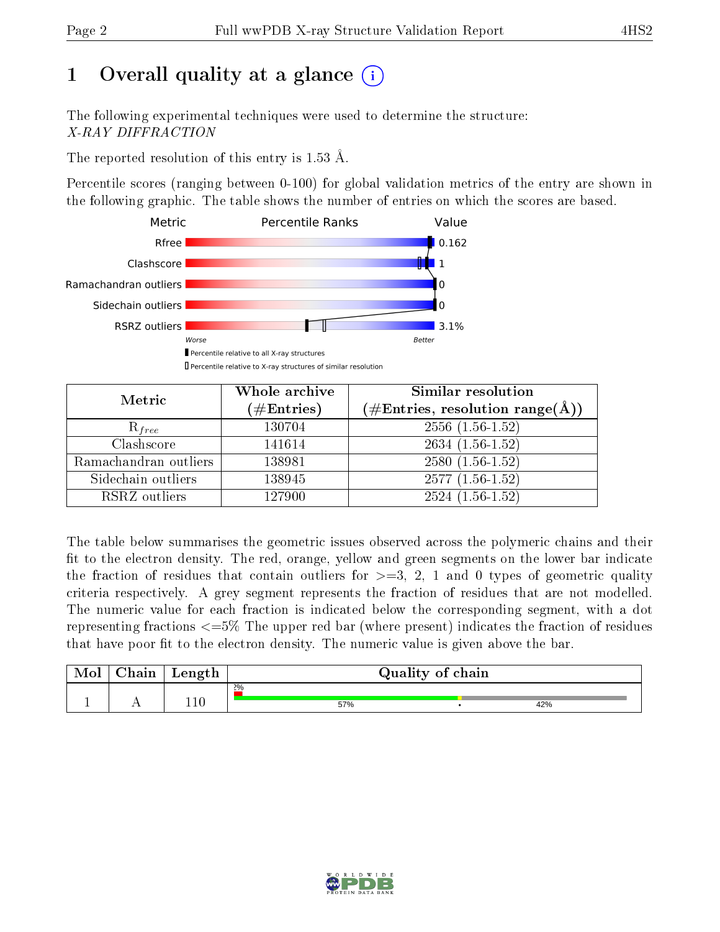## 1 [O](https://www.wwpdb.org/validation/2017/XrayValidationReportHelp#overall_quality)verall quality at a glance  $(i)$

The following experimental techniques were used to determine the structure: X-RAY DIFFRACTION

The reported resolution of this entry is 1.53 Å.

Percentile scores (ranging between 0-100) for global validation metrics of the entry are shown in the following graphic. The table shows the number of entries on which the scores are based.



| Metric                | Whole archive<br>$(\#\text{Entries})$ | Similar resolution<br>$(\#\text{Entries},\,\text{resolution}\,\,\text{range}(\textup{\AA}))$ |
|-----------------------|---------------------------------------|----------------------------------------------------------------------------------------------|
| $R_{free}$            | 130704                                | $2556(1.56-1.52)$                                                                            |
| Clashscore            | 141614                                | $2634(1.56-1.52)$                                                                            |
| Ramachandran outliers | 138981                                | $2580(1.56-1.52)$                                                                            |
| Sidechain outliers    | 138945                                | $2577(1.56-1.52)$                                                                            |
| RSRZ outliers         | 127900                                | $2524(1.56-1.52)$                                                                            |

The table below summarises the geometric issues observed across the polymeric chains and their fit to the electron density. The red, orange, yellow and green segments on the lower bar indicate the fraction of residues that contain outliers for  $>=3, 2, 1$  and 0 types of geometric quality criteria respectively. A grey segment represents the fraction of residues that are not modelled. The numeric value for each fraction is indicated below the corresponding segment, with a dot representing fractions <=5% The upper red bar (where present) indicates the fraction of residues that have poor fit to the electron density. The numeric value is given above the bar.

| Mol | $\alpha$ hain | Length  | Quality of chain |  |     |  |  |
|-----|---------------|---------|------------------|--|-----|--|--|
|     |               |         | $2\%$            |  |     |  |  |
|     |               | $110\,$ | 57%              |  | 42% |  |  |

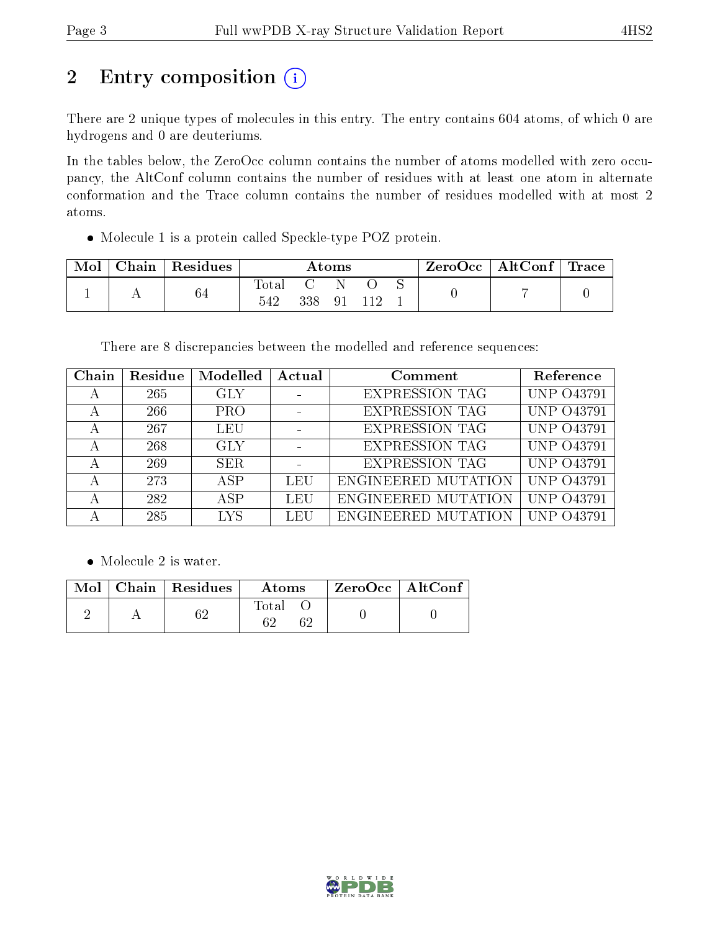# 2 Entry composition (i)

There are 2 unique types of molecules in this entry. The entry contains 604 atoms, of which 0 are hydrogens and 0 are deuteriums.

In the tables below, the ZeroOcc column contains the number of atoms modelled with zero occupancy, the AltConf column contains the number of residues with at least one atom in alternate conformation and the Trace column contains the number of residues modelled with at most 2 atoms.

Molecule 1 is a protein called Speckle-type POZ protein.

| Mol | Chain   Residues | Atoms        |     |                             |  |  | ZeroOcc   AltConf   Trace |  |
|-----|------------------|--------------|-----|-----------------------------|--|--|---------------------------|--|
|     | 64               | Total<br>542 | 338 | N.<br>$\Omega$ <sup>-</sup> |  |  |                           |  |

There are 8 discrepancies between the modelled and reference sequences:

| Chain | Residue | Modelled   | Actual | Comment               | Reference         |
|-------|---------|------------|--------|-----------------------|-------------------|
|       | 265     | GLY        |        | <b>EXPRESSION TAG</b> | UNP 043791        |
|       | 266     | <b>PRO</b> |        | <b>EXPRESSION TAG</b> | <b>UNP 043791</b> |
|       | 267     | LEU        |        | <b>EXPRESSION TAG</b> | UNP 043791        |
|       | 268     | <b>GLY</b> |        | <b>EXPRESSION TAG</b> | <b>UNP 043791</b> |
|       | 269     | <b>SER</b> |        | <b>EXPRESSION TAG</b> | UNP 043791        |
|       | 273     | ASP        | LEU    | ENGINEERED MUTATION   | <b>UNP 043791</b> |
|       | 282     | ASP        | LEU    | ENGINEERED MUTATION   | UNP 043791        |
|       | 285     | <b>LYS</b> | LEU    | ENGINEERED MUTATION   | O43791            |

• Molecule 2 is water.

|  | $\parallel$ Mol $\parallel$ Chain $\parallel$ Residues $\perp$ | Atoms | $\mid$ ZeroOcc $\mid$ AltConf $\mid$ |  |
|--|----------------------------------------------------------------|-------|--------------------------------------|--|
|  |                                                                | Total |                                      |  |

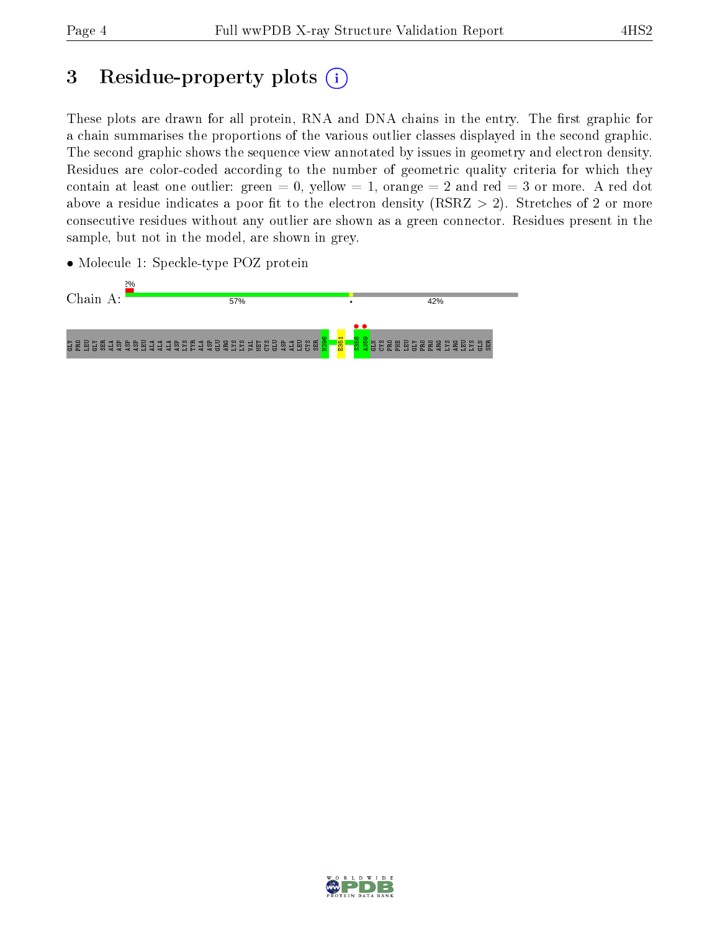## 3 Residue-property plots  $(i)$

These plots are drawn for all protein, RNA and DNA chains in the entry. The first graphic for a chain summarises the proportions of the various outlier classes displayed in the second graphic. The second graphic shows the sequence view annotated by issues in geometry and electron density. Residues are color-coded according to the number of geometric quality criteria for which they contain at least one outlier: green  $= 0$ , yellow  $= 1$ , orange  $= 2$  and red  $= 3$  or more. A red dot above a residue indicates a poor fit to the electron density (RSRZ  $> 2$ ). Stretches of 2 or more consecutive residues without any outlier are shown as a green connector. Residues present in the sample, but not in the model, are shown in grey.





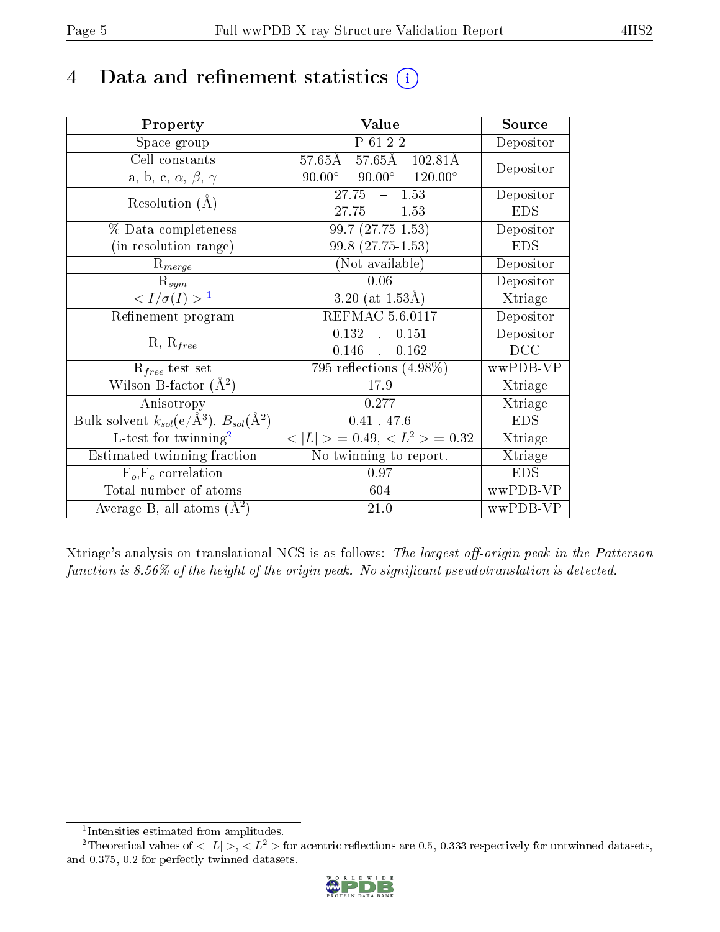## 4 Data and refinement statistics  $(i)$

| Property                                                         | Value                                            | Source     |
|------------------------------------------------------------------|--------------------------------------------------|------------|
| Space group                                                      | P 61 2 2                                         | Depositor  |
| Cell constants                                                   | 57.65Å 57.65Å 102.81Å                            | Depositor  |
| a, b, c, $\alpha$ , $\beta$ , $\gamma$                           | $90.00^{\circ}$ $90.00^{\circ}$ $120.00^{\circ}$ |            |
| Resolution $(A)$                                                 | $27.75 - 1.53$                                   | Depositor  |
|                                                                  | $27.75 - 1.53$                                   | <b>EDS</b> |
| % Data completeness                                              | $99.7(27.75-1.53)$                               | Depositor  |
| (in resolution range)                                            | 99.8 (27.75-1.53)                                | <b>EDS</b> |
| $R_{merge}$                                                      | (Not available)                                  | Depositor  |
| $\mathrm{R}_{sym}$                                               | 0.06                                             | Depositor  |
| $\langle I/\sigma(I) \rangle^{-1}$                               | 3.20 (at $1.53\text{\AA}$ )                      | Xtriage    |
| Refinement program                                               | <b>REFMAC 5.6.0117</b>                           | Depositor  |
| $R, R_{free}$                                                    | 0.132<br>0.151<br>$\overline{\phantom{a}}$       | Depositor  |
|                                                                  | 0.146<br>0.162<br>$\mathcal{A}$                  | DCC        |
| $\mathcal{R}_{free}$ test set                                    | 795 reflections $(4.98\%)$                       | wwPDB-VP   |
| Wilson B-factor $(A^2)$                                          | 17.9                                             | Xtriage    |
| Anisotropy                                                       | 0.277                                            | Xtriage    |
| Bulk solvent $k_{sol}(\text{e}/\text{A}^3), B_{sol}(\text{A}^2)$ | 0.41, 47.6                                       | <b>EDS</b> |
| L-test for $\mathrm{twinning}^2$                                 | $< L >$ = 0.49, $< L2$ > = 0.32                  | Xtriage    |
| Estimated twinning fraction                                      | No twinning to report.                           | Xtriage    |
| $\overline{F_o}, \overline{F_c}$ correlation                     | 0.97                                             | <b>EDS</b> |
| Total number of atoms                                            | 604                                              | wwPDB-VP   |
| Average B, all atoms $(A^2)$                                     | 21.0                                             | wwPDB-VP   |

Xtriage's analysis on translational NCS is as follows: The largest off-origin peak in the Patterson function is  $8.56\%$  of the height of the origin peak. No significant pseudotranslation is detected.

<sup>&</sup>lt;sup>2</sup>Theoretical values of  $\langle |L| \rangle$ ,  $\langle L^2 \rangle$  for acentric reflections are 0.5, 0.333 respectively for untwinned datasets, and 0.375, 0.2 for perfectly twinned datasets.



<span id="page-4-1"></span><span id="page-4-0"></span><sup>1</sup> Intensities estimated from amplitudes.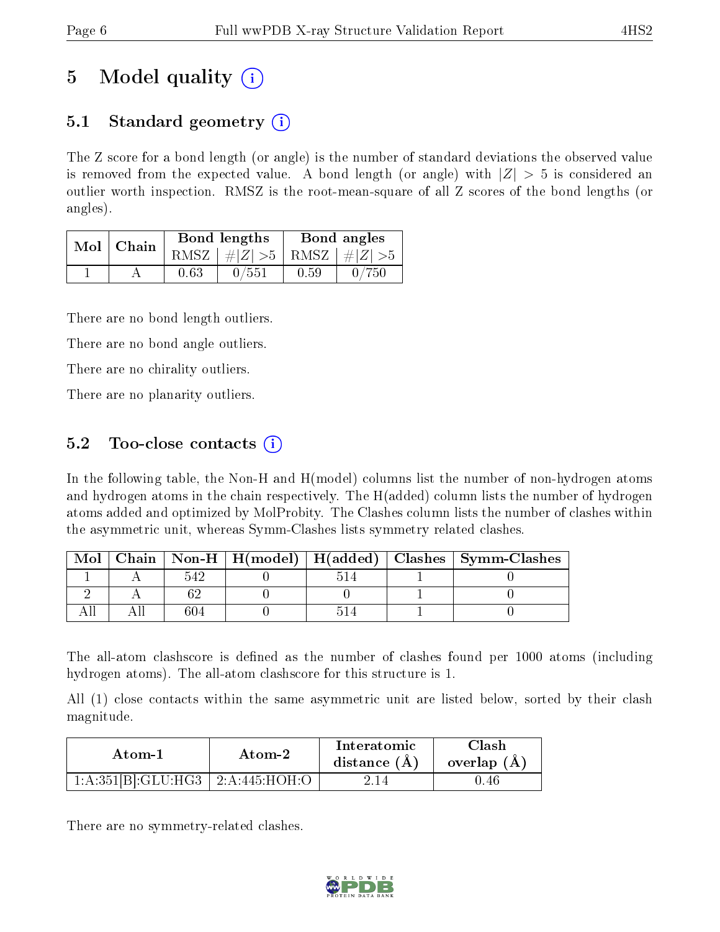## 5 Model quality  $(i)$

### 5.1 Standard geometry  $\overline{()}$

The Z score for a bond length (or angle) is the number of standard deviations the observed value is removed from the expected value. A bond length (or angle) with  $|Z| > 5$  is considered an outlier worth inspection. RMSZ is the root-mean-square of all Z scores of the bond lengths (or angles).

| Mol | Chain |      | <b>Bond lengths</b>        | Bond angles |       |  |
|-----|-------|------|----------------------------|-------------|-------|--|
|     |       | RMSZ | $\#Z  > 5$ RMSZ $\#Z  > 5$ |             |       |  |
|     |       | 0.63 | 0/551                      | 0.59        | 0/750 |  |

There are no bond length outliers.

There are no bond angle outliers.

There are no chirality outliers.

There are no planarity outliers.

### 5.2 Too-close contacts  $\overline{()}$

In the following table, the Non-H and H(model) columns list the number of non-hydrogen atoms and hydrogen atoms in the chain respectively. The H(added) column lists the number of hydrogen atoms added and optimized by MolProbity. The Clashes column lists the number of clashes within the asymmetric unit, whereas Symm-Clashes lists symmetry related clashes.

| Mol |     |  | Chain   Non-H   H(model)   H(added)   Clashes   Symm-Clashes |
|-----|-----|--|--------------------------------------------------------------|
|     |     |  |                                                              |
|     |     |  |                                                              |
|     | 604 |  |                                                              |

The all-atom clashscore is defined as the number of clashes found per 1000 atoms (including hydrogen atoms). The all-atom clashscore for this structure is 1.

All (1) close contacts within the same asymmetric unit are listed below, sorted by their clash magnitude.

| Atom-1             | Atom-2        | Interatomic<br>distance $(A)$ | Clash<br>overlap $(A)$ |  |
|--------------------|---------------|-------------------------------|------------------------|--|
| 1:A:351[B]:GLU:HG3 | 2:A:445:HOH:O | 2.14                          | II.46                  |  |

There are no symmetry-related clashes.

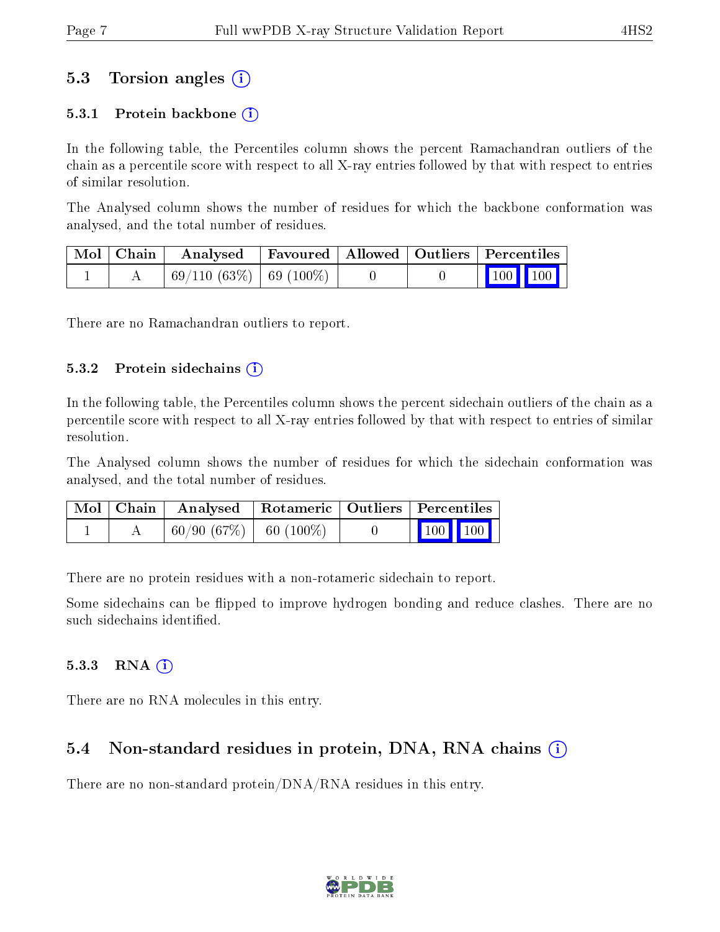### 5.3 Torsion angles (i)

#### 5.3.1 Protein backbone  $(i)$

In the following table, the Percentiles column shows the percent Ramachandran outliers of the chain as a percentile score with respect to all X-ray entries followed by that with respect to entries of similar resolution.

The Analysed column shows the number of residues for which the backbone conformation was analysed, and the total number of residues.

| Mol   Chain | Analysed   Favoured   Allowed   Outliers   Percentiles |  |                     |
|-------------|--------------------------------------------------------|--|---------------------|
|             | 69/110 (63%)   69 (100%)                               |  | $\parallel$ 100 100 |

There are no Ramachandran outliers to report.

#### $5.3.2$  Protein sidechains  $(i)$

In the following table, the Percentiles column shows the percent sidechain outliers of the chain as a percentile score with respect to all X-ray entries followed by that with respect to entries of similar resolution.

The Analysed column shows the number of residues for which the sidechain conformation was analysed, and the total number of residues.

|  | Mol   Chain   Analysed   Rotameric   Outliers   Percentiles |  |                         |  |
|--|-------------------------------------------------------------|--|-------------------------|--|
|  | $60/90(67%)$ 60 (100%)                                      |  | $\vert$ 100 100 $\vert$ |  |

There are no protein residues with a non-rotameric sidechain to report.

Some sidechains can be flipped to improve hydrogen bonding and reduce clashes. There are no such sidechains identified.

#### $5.3.3$  RNA  $(i)$

There are no RNA molecules in this entry.

### 5.4 Non-standard residues in protein, DNA, RNA chains  $\Omega$  $\Omega$  $\Omega$

There are no non-standard protein/DNA/RNA residues in this entry.

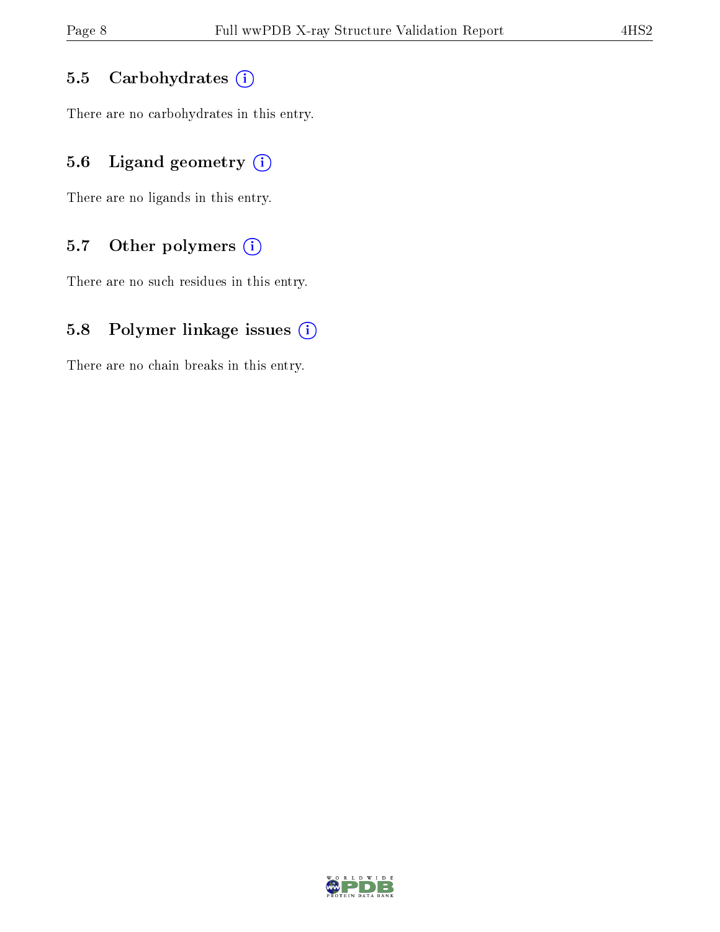#### 5.5 Carbohydrates  $(i)$

There are no carbohydrates in this entry.

### 5.6 Ligand geometry  $(i)$

There are no ligands in this entry.

#### 5.7 [O](https://www.wwpdb.org/validation/2017/XrayValidationReportHelp#nonstandard_residues_and_ligands)ther polymers  $(i)$

There are no such residues in this entry.

#### 5.8 Polymer linkage issues  $(i)$

There are no chain breaks in this entry.